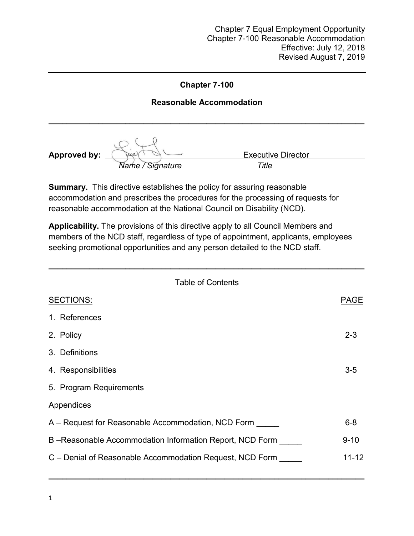### **Chapter 7-100**

#### **Reasonable Accommodation**

**\_\_\_\_\_\_\_\_\_\_\_\_\_\_\_\_\_\_\_\_\_\_\_\_\_\_\_\_\_\_\_\_\_\_\_\_\_\_\_\_\_\_\_\_\_\_\_\_\_\_\_\_\_\_\_\_\_\_\_\_\_\_\_\_\_\_\_\_\_\_**

**Approved by:**  $\leftarrow$  **Approved by:**  $\leftarrow$  **Executive Director**  *Name / Signature Title*

**Summary.** This directive establishes the policy for assuring reasonable accommodation and prescribes the procedures for the processing of requests for reasonable accommodation at the National Council on Disability (NCD).

**Applicability.** The provisions of this directive apply to all Council Members and members of the NCD staff, regardless of type of appointment, applicants, employees seeking promotional opportunities and any person detailed to the NCD staff.

**\_\_\_\_\_\_\_\_\_\_\_\_\_\_\_\_\_\_\_\_\_\_\_\_\_\_\_\_\_\_\_\_\_\_\_\_\_\_\_\_\_\_\_\_\_\_\_\_\_\_\_\_\_\_\_\_\_\_\_\_\_\_\_\_\_\_\_\_\_\_**

| <b>Table of Contents</b>                                 |             |
|----------------------------------------------------------|-------------|
| <b>SECTIONS:</b>                                         | <b>PAGE</b> |
| 1. References                                            |             |
| 2. Policy                                                | $2 - 3$     |
| 3. Definitions                                           |             |
| 4. Responsibilities                                      | $3-5$       |
| 5. Program Requirements                                  |             |
| Appendices                                               |             |
| A – Request for Reasonable Accommodation, NCD Form       | $6 - 8$     |
| B-Reasonable Accommodation Information Report, NCD Form  | $9 - 10$    |
| C – Denial of Reasonable Accommodation Request, NCD Form | $11 - 12$   |

**\_\_\_\_\_\_\_\_\_\_\_\_\_\_\_\_\_\_\_\_\_\_\_\_\_\_\_\_\_\_\_\_\_\_\_\_\_\_\_\_\_\_\_\_\_\_\_\_\_\_\_\_\_\_\_\_\_\_\_\_\_\_\_\_\_\_\_\_\_\_**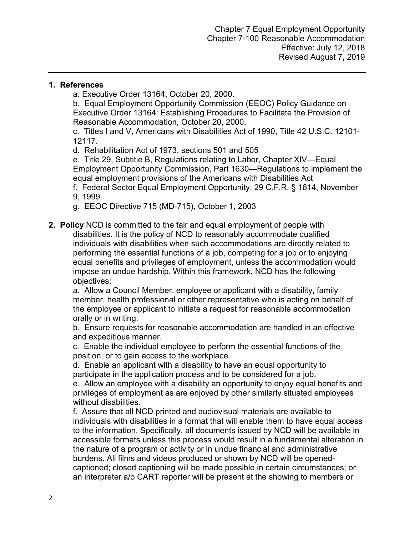#### **1. References**

a. Executive Order 13164, October 20, 2000.

b. Equal Employment Opportunity Commission (EEOC) Policy Guidance on Executive Order 13164: Establishing Procedures to Facilitate the Provision of Reasonable Accommodation, October 20, 2000.

c. Titles I and V, Americans with Disabilities Act of 1990, Title 42 U.S.C. 12101- 12117.

d. Rehabilitation Act of 1973, sections 501 and 505

e. Title 29, Subtitle B, Regulations relating to Labor, Chapter XIV—Equal Employment Opportunity Commission, Part 1630—Regulations to implement the equal employment provisions of the Americans with Disabilities Act

f. Federal Sector Equal Employment Opportunity, 29 C.F.R. § 1614, November 9, 1999.

g. EEOC Directive 715 (MD-715), October 1, 2003

**2. Policy** NCD is committed to the fair and equal employment of people with disabilities. It is the policy of NCD to reasonably accommodate qualified individuals with disabilities when such accommodations are directly related to performing the essential functions of a job, competing for a job or to enjoying equal benefits and privileges of employment, unless the accommodation would impose an undue hardship. Within this framework, NCD has the following objectives:

a. Allow a Council Member, employee or applicant with a disability, family member, health professional or other representative who is acting on behalf of the employee or applicant to initiate a request for reasonable accommodation orally or in writing.

b. Ensure requests for reasonable accommodation are handled in an effective and expeditious manner.

c. Enable the individual employee to perform the essential functions of the position, or to gain access to the workplace.

d. Enable an applicant with a disability to have an equal opportunity to participate in the application process and to be considered for a job.

e. Allow an employee with a disability an opportunity to enjoy equal benefits and privileges of employment as are enjoyed by other similarly situated employees without disabilities.

f. Assure that all NCD printed and audiovisual materials are available to individuals with disabilities in a format that will enable them to have equal access to the information. Specifically, all documents issued by NCD will be available in accessible formats unless this process would result in a fundamental alteration in the nature of a program or activity or in undue financial and administrative burdens. All films and videos produced or shown by NCD will be openedcaptioned; closed captioning will be made possible in certain circumstances; or, an interpreter a/o CART reporter will be present at the showing to members or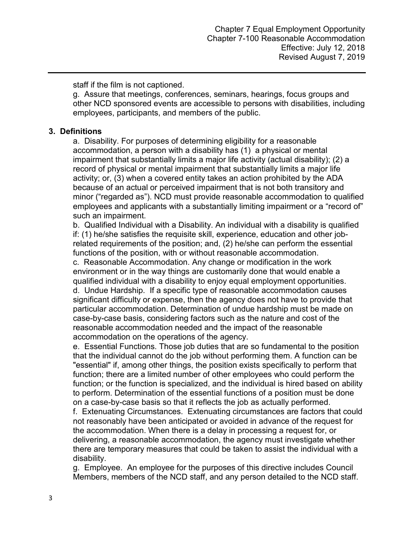staff if the film is not captioned.

g. Assure that meetings, conferences, seminars, hearings, focus groups and other NCD sponsored events are accessible to persons with disabilities, including employees, participants, and members of the public.

#### **3. Definitions**

a. Disability. For purposes of determining eligibility for a reasonable accommodation, a person with a disability has (1) a physical or mental impairment that substantially limits a major life activity (actual disability); (2) a record of physical or mental impairment that substantially limits a major life activity; or, (3) when a covered entity takes an action prohibited by the ADA because of an actual or perceived impairment that is not both transitory and minor ("regarded as"). NCD must provide reasonable accommodation to qualified employees and applicants with a substantially limiting impairment or a "record of" such an impairment.

b. Qualified Individual with a Disability. An individual with a disability is qualified if: (1) he/she satisfies the requisite skill, experience, education and other jobrelated requirements of the position; and, (2) he/she can perform the essential functions of the position, with or without reasonable accommodation.

c. Reasonable Accommodation. Any change or modification in the work environment or in the way things are customarily done that would enable a qualified individual with a disability to enjoy equal employment opportunities. d. Undue Hardship. If a specific type of reasonable accommodation causes significant difficulty or expense, then the agency does not have to provide that particular accommodation. Determination of undue hardship must be made on case-by-case basis, considering factors such as the nature and cost of the reasonable accommodation needed and the impact of the reasonable accommodation on the operations of the agency.

e. Essential Functions. Those job duties that are so fundamental to the position that the individual cannot do the job without performing them. A function can be "essential" if, among other things, the position exists specifically to perform that function; there are a limited number of other employees who could perform the function; or the function is specialized, and the individual is hired based on ability to perform. Determination of the essential functions of a position must be done on a case-by-case basis so that it reflects the job as actually performed.

f. Extenuating Circumstances. Extenuating circumstances are factors that could not reasonably have been anticipated or avoided in advance of the request for the accommodation. When there is a delay in processing a request for, or delivering, a reasonable accommodation, the agency must investigate whether there are temporary measures that could be taken to assist the individual with a disability.

g. Employee. An employee for the purposes of this directive includes Council Members, members of the NCD staff, and any person detailed to the NCD staff.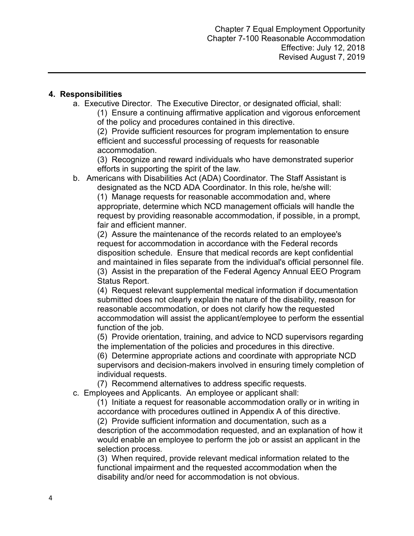#### **4. Responsibilities**

a. Executive Director. The Executive Director, or designated official, shall:

(1) Ensure a continuing affirmative application and vigorous enforcement of the policy and procedures contained in this directive.

(2) Provide sufficient resources for program implementation to ensure efficient and successful processing of requests for reasonable accommodation.

(3) Recognize and reward individuals who have demonstrated superior efforts in supporting the spirit of the law.

b. Americans with Disabilities Act (ADA) Coordinator. The Staff Assistant is

designated as the NCD ADA Coordinator. In this role, he/she will:

(1) Manage requests for reasonable accommodation and, where appropriate, determine which NCD management officials will handle the request by providing reasonable accommodation, if possible, in a prompt, fair and efficient manner.

(2) Assure the maintenance of the records related to an employee's request for accommodation in accordance with the Federal records disposition schedule. Ensure that medical records are kept confidential and maintained in files separate from the individual's official personnel file. (3) Assist in the preparation of the Federal Agency Annual EEO Program

Status Report.

(4) Request relevant supplemental medical information if documentation submitted does not clearly explain the nature of the disability, reason for reasonable accommodation, or does not clarify how the requested accommodation will assist the applicant/employee to perform the essential function of the job.

(5) Provide orientation, training, and advice to NCD supervisors regarding the implementation of the policies and procedures in this directive.

(6) Determine appropriate actions and coordinate with appropriate NCD supervisors and decision-makers involved in ensuring timely completion of individual requests.

- (7) Recommend alternatives to address specific requests.
- c. Employees and Applicants. An employee or applicant shall:

(1) Initiate a request for reasonable accommodation orally or in writing in accordance with procedures outlined in Appendix A of this directive. (2) Provide sufficient information and documentation, such as a description of the accommodation requested, and an explanation of how it would enable an employee to perform the job or assist an applicant in the selection process.

(3) When required, provide relevant medical information related to the functional impairment and the requested accommodation when the disability and/or need for accommodation is not obvious.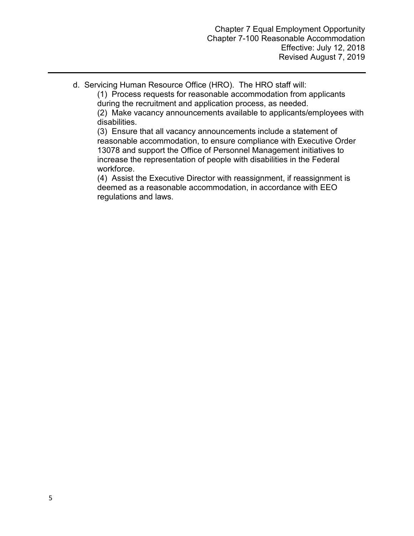d. Servicing Human Resource Office (HRO). The HRO staff will:

(1) Process requests for reasonable accommodation from applicants during the recruitment and application process, as needed.

(2) Make vacancy announcements available to applicants/employees with disabilities.

(3) Ensure that all vacancy announcements include a statement of reasonable accommodation, to ensure compliance with Executive Order 13078 and support the Office of Personnel Management initiatives to increase the representation of people with disabilities in the Federal workforce.

(4) Assist the Executive Director with reassignment, if reassignment is deemed as a reasonable accommodation, in accordance with EEO regulations and laws.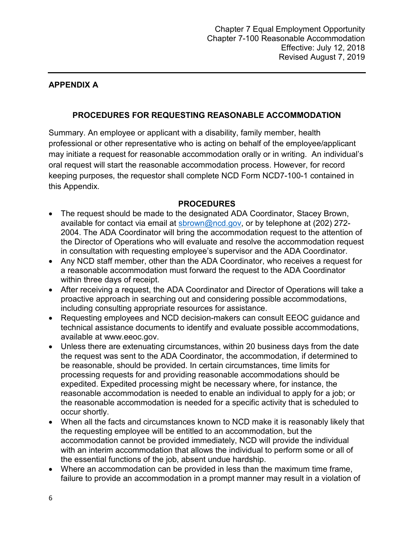# **APPENDIX A**

# **PROCEDURES FOR REQUESTING REASONABLE ACCOMMODATION**

Summary. An employee or applicant with a disability, family member, health professional or other representative who is acting on behalf of the employee/applicant may initiate a request for reasonable accommodation orally or in writing. An individual's oral request will start the reasonable accommodation process. However, for record keeping purposes, the requestor shall complete NCD Form NCD7-100-1 contained in this Appendix.

# **PROCEDURES**

- The request should be made to the designated ADA Coordinator, Stacey Brown, available for contact via email at [sbrown@ncd.gov,](mailto:sbrown@ncd.gov) or by telephone at (202) 272-2004. The ADA Coordinator will bring the accommodation request to the attention of the Director of Operations who will evaluate and resolve the accommodation request in consultation with requesting employee's supervisor and the ADA Coordinator.
- Any NCD staff member, other than the ADA Coordinator, who receives a request for a reasonable accommodation must forward the request to the ADA Coordinator within three days of receipt.
- After receiving a request, the ADA Coordinator and Director of Operations will take a proactive approach in searching out and considering possible accommodations, including consulting appropriate resources for assistance.
- Requesting employees and NCD decision-makers can consult EEOC guidance and technical assistance documents to identify and evaluate possible accommodations, available at www.eeoc.gov.
- Unless there are extenuating circumstances, within 20 business days from the date the request was sent to the ADA Coordinator, the accommodation, if determined to be reasonable, should be provided. In certain circumstances, time limits for processing requests for and providing reasonable accommodations should be expedited. Expedited processing might be necessary where, for instance, the reasonable accommodation is needed to enable an individual to apply for a job; or the reasonable accommodation is needed for a specific activity that is scheduled to occur shortly.
- When all the facts and circumstances known to NCD make it is reasonably likely that the requesting employee will be entitled to an accommodation, but the accommodation cannot be provided immediately, NCD will provide the individual with an interim accommodation that allows the individual to perform some or all of the essential functions of the job, absent undue hardship.
- Where an accommodation can be provided in less than the maximum time frame, failure to provide an accommodation in a prompt manner may result in a violation of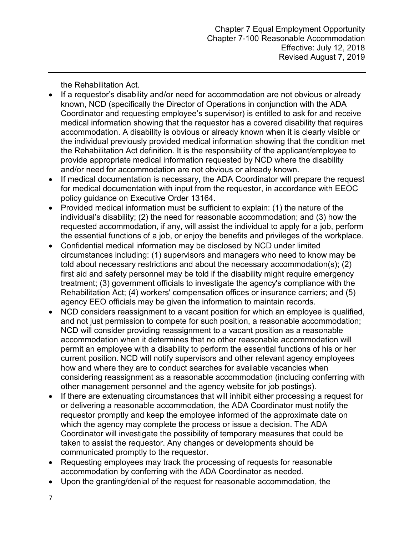the Rehabilitation Act.

- If a requestor's disability and/or need for accommodation are not obvious or already known, NCD (specifically the Director of Operations in conjunction with the ADA Coordinator and requesting employee's supervisor) is entitled to ask for and receive medical information showing that the requestor has a covered disability that requires accommodation. A disability is obvious or already known when it is clearly visible or the individual previously provided medical information showing that the condition met the Rehabilitation Act definition. It is the responsibility of the applicant/employee to provide appropriate medical information requested by NCD where the disability and/or need for accommodation are not obvious or already known.
- If medical documentation is necessary, the ADA Coordinator will prepare the request for medical documentation with input from the requestor, in accordance with EEOC policy guidance on Executive Order 13164.
- Provided medical information must be sufficient to explain: (1) the nature of the individual's disability; (2) the need for reasonable accommodation; and (3) how the requested accommodation, if any, will assist the individual to apply for a job, perform the essential functions of a job, or enjoy the benefits and privileges of the workplace.
- Confidential medical information may be disclosed by NCD under limited circumstances including: (1) supervisors and managers who need to know may be told about necessary restrictions and about the necessary accommodation(s); (2) first aid and safety personnel may be told if the disability might require emergency treatment; (3) government officials to investigate the agency's compliance with the Rehabilitation Act; (4) workers' compensation offices or insurance carriers; and (5) agency EEO officials may be given the information to maintain records.
- NCD considers reassignment to a vacant position for which an employee is qualified, and not just permission to compete for such position, a reasonable accommodation; NCD will consider providing reassignment to a vacant position as a reasonable accommodation when it determines that no other reasonable accommodation will permit an employee with a disability to perform the essential functions of his or her current position. NCD will notify supervisors and other relevant agency employees how and where they are to conduct searches for available vacancies when considering reassignment as a reasonable accommodation (including conferring with other management personnel and the agency website for job postings).
- If there are extenuating circumstances that will inhibit either processing a request for or delivering a reasonable accommodation, the ADA Coordinator must notify the requestor promptly and keep the employee informed of the approximate date on which the agency may complete the process or issue a decision. The ADA Coordinator will investigate the possibility of temporary measures that could be taken to assist the requestor. Any changes or developments should be communicated promptly to the requestor.
- Requesting employees may track the processing of requests for reasonable accommodation by conferring with the ADA Coordinator as needed.
- Upon the granting/denial of the request for reasonable accommodation, the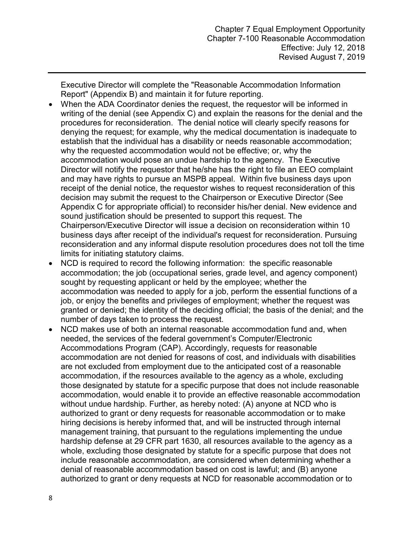Executive Director will complete the "Reasonable Accommodation Information Report" (Appendix B) and maintain it for future reporting.

- When the ADA Coordinator denies the request, the requestor will be informed in writing of the denial (see Appendix C) and explain the reasons for the denial and the procedures for reconsideration. The denial notice will clearly specify reasons for denying the request; for example, why the medical documentation is inadequate to establish that the individual has a disability or needs reasonable accommodation; why the requested accommodation would not be effective; or, why the accommodation would pose an undue hardship to the agency. The Executive Director will notify the requestor that he/she has the right to file an EEO complaint and may have rights to pursue an MSPB appeal. Within five business days upon receipt of the denial notice, the requestor wishes to request reconsideration of this decision may submit the request to the Chairperson or Executive Director (See Appendix C for appropriate official) to reconsider his/her denial. New evidence and sound justification should be presented to support this request. The Chairperson/Executive Director will issue a decision on reconsideration within 10 business days after receipt of the individual's request for reconsideration. Pursuing reconsideration and any informal dispute resolution procedures does not toll the time limits for initiating statutory claims.
- NCD is required to record the following information: the specific reasonable accommodation; the job (occupational series, grade level, and agency component) sought by requesting applicant or held by the employee; whether the accommodation was needed to apply for a job, perform the essential functions of a job, or enjoy the benefits and privileges of employment; whether the request was granted or denied; the identity of the deciding official; the basis of the denial; and the number of days taken to process the request.
- NCD makes use of both an internal reasonable accommodation fund and, when needed, the services of the federal government's Computer/Electronic Accommodations Program (CAP). Accordingly, requests for reasonable accommodation are not denied for reasons of cost, and individuals with disabilities are not excluded from employment due to the anticipated cost of a reasonable accommodation, if the resources available to the agency as a whole, excluding those designated by statute for a specific purpose that does not include reasonable accommodation, would enable it to provide an effective reasonable accommodation without undue hardship. Further, as hereby noted: (A) anyone at NCD who is authorized to grant or deny requests for reasonable accommodation or to make hiring decisions is hereby informed that, and will be instructed through internal management training, that pursuant to the regulations implementing the undue hardship defense at 29 CFR part 1630, all resources available to the agency as a whole, excluding those designated by statute for a specific purpose that does not include reasonable accommodation, are considered when determining whether a denial of reasonable accommodation based on cost is lawful; and (B) anyone authorized to grant or deny requests at NCD for reasonable accommodation or to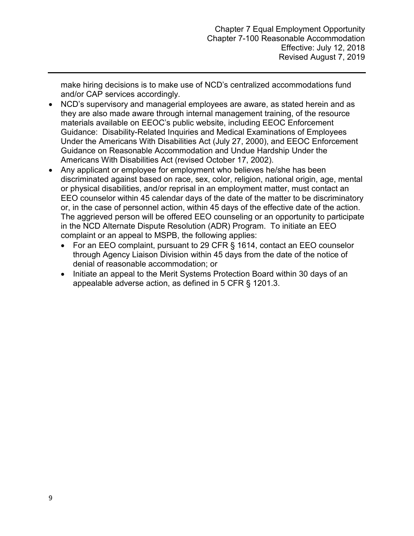make hiring decisions is to make use of NCD's centralized accommodations fund and/or CAP services accordingly.

- NCD's supervisory and managerial employees are aware, as stated herein and as they are also made aware through internal management training, of the resource materials available on EEOC's public website, including EEOC Enforcement Guidance: Disability-Related Inquiries and Medical Examinations of Employees Under the Americans With Disabilities Act (July 27, 2000), and EEOC Enforcement Guidance on Reasonable Accommodation and Undue Hardship Under the Americans With Disabilities Act (revised October 17, 2002).
- Any applicant or employee for employment who believes he/she has been discriminated against based on race, sex, color, religion, national origin, age, mental or physical disabilities, and/or reprisal in an employment matter, must contact an EEO counselor within 45 calendar days of the date of the matter to be discriminatory or, in the case of personnel action, within 45 days of the effective date of the action. The aggrieved person will be offered EEO counseling or an opportunity to participate in the NCD Alternate Dispute Resolution (ADR) Program. To initiate an EEO complaint or an appeal to MSPB, the following applies:
	- For an EEO complaint, pursuant to 29 CFR § 1614, contact an EEO counselor through Agency Liaison Division within 45 days from the date of the notice of denial of reasonable accommodation; or
	- Initiate an appeal to the Merit Systems Protection Board within 30 days of an appealable adverse action, as defined in 5 CFR § 1201.3.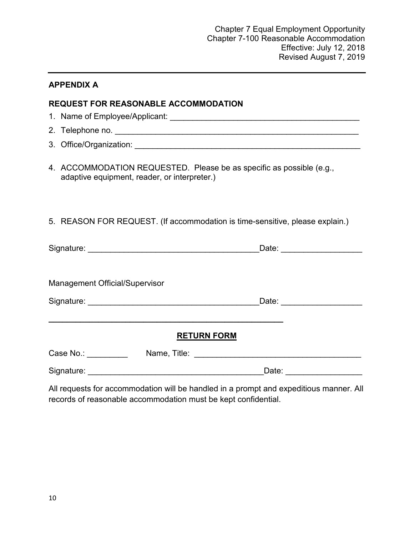| <b>APPENDIX A</b>                                                                                                    |
|----------------------------------------------------------------------------------------------------------------------|
| <b>REQUEST FOR REASONABLE ACCOMMODATION</b>                                                                          |
|                                                                                                                      |
|                                                                                                                      |
|                                                                                                                      |
| 4. ACCOMMODATION REQUESTED. Please be as specific as possible (e.g.,<br>adaptive equipment, reader, or interpreter.) |
| 5. REASON FOR REQUEST. (If accommodation is time-sensitive, please explain.)                                         |
|                                                                                                                      |
| <b>Management Official/Supervisor</b>                                                                                |
|                                                                                                                      |
| <b>RETURN FORM</b>                                                                                                   |
|                                                                                                                      |
| _Date: _______________                                                                                               |
| All requests for accommodation will be handled in a prompt and expeditious manner. All                               |

All requests for accommodation will be handled in a prompt and expeditious manner. All records of reasonable accommodation must be kept confidential.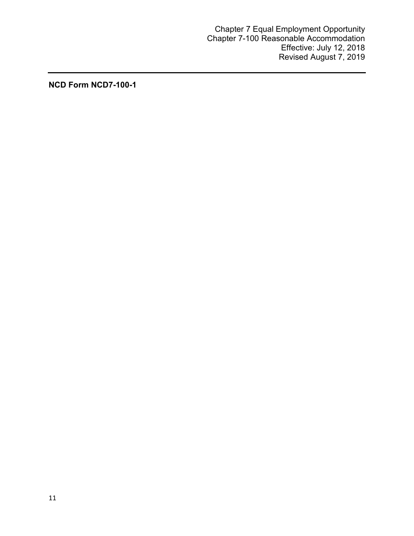**NCD Form NCD7-100-1**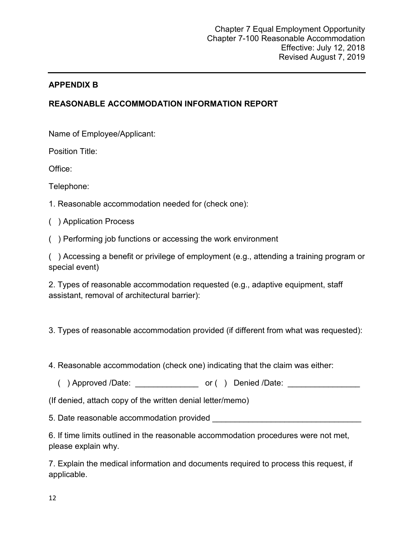# **APPENDIX B**

### **REASONABLE ACCOMMODATION INFORMATION REPORT**

Name of Employee/Applicant:

Position Title:

Office:

Telephone:

1. Reasonable accommodation needed for (check one):

- ( ) Application Process
- ( ) Performing job functions or accessing the work environment

( ) Accessing a benefit or privilege of employment (e.g., attending a training program or special event)

2. Types of reasonable accommodation requested (e.g., adaptive equipment, staff assistant, removal of architectural barrier):

3. Types of reasonable accommodation provided (if different from what was requested):

4. Reasonable accommodation (check one) indicating that the claim was either:

() Approved /Date: <br>  $\begin{array}{ccc} \text{or ()} & \text{Denied /Date:} \end{array}$ 

(If denied, attach copy of the written denial letter/memo)

5. Date reasonable accommodation provided

6. If time limits outlined in the reasonable accommodation procedures were not met, please explain why.

7. Explain the medical information and documents required to process this request, if applicable.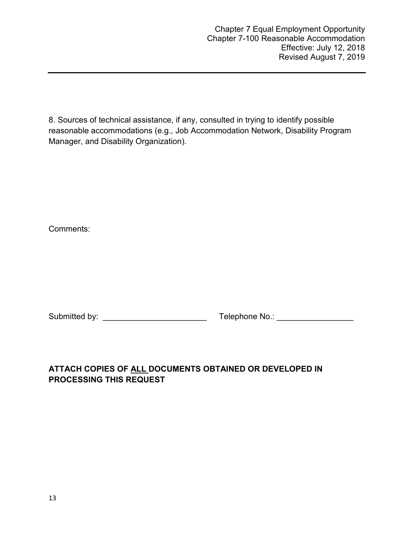8. Sources of technical assistance, if any, consulted in trying to identify possible reasonable accommodations (e.g., Job Accommodation Network, Disability Program Manager, and Disability Organization).

Comments:

Submitted by: \_\_\_\_\_\_\_\_\_\_\_\_\_\_\_\_\_\_\_\_\_\_\_ Telephone No.: \_\_\_\_\_\_\_\_\_\_\_\_\_\_\_\_\_

# **ATTACH COPIES OF ALL DOCUMENTS OBTAINED OR DEVELOPED IN PROCESSING THIS REQUEST**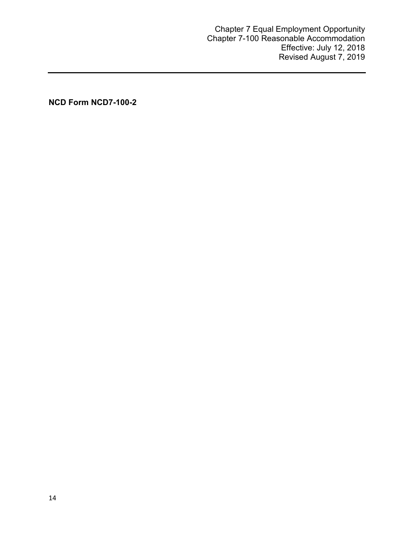**NCD Form NCD7-100-2**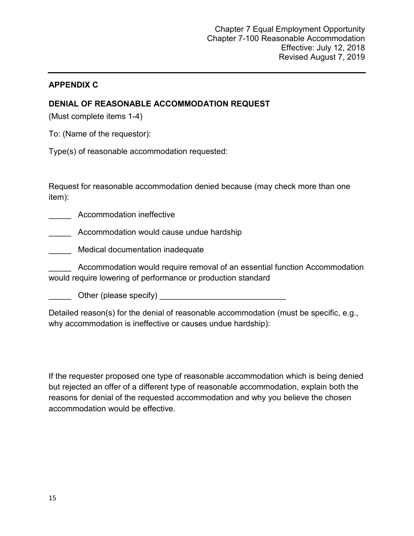#### **APPENDIX C**

#### **DENIAL OF REASONABLE ACCOMMODATION REQUEST**

(Must complete items 1-4)

To: (Name of the requestor):

Type(s) of reasonable accommodation requested:

Request for reasonable accommodation denied because (may check more than one item):

Accommodation ineffective

Accommodation would cause undue hardship

\_\_\_\_\_ Medical documentation inadequate

Accommodation would require removal of an essential function Accommodation would require lowering of performance or production standard

\_\_\_\_\_ Other (please specify) \_\_\_\_\_\_\_\_\_\_\_\_\_\_\_\_\_\_\_\_\_\_\_\_\_\_\_\_

Detailed reason(s) for the denial of reasonable accommodation (must be specific, e.g., why accommodation is ineffective or causes undue hardship):

If the requester proposed one type of reasonable accommodation which is being denied but rejected an offer of a different type of reasonable accommodation, explain both the reasons for denial of the requested accommodation and why you believe the chosen accommodation would be effective.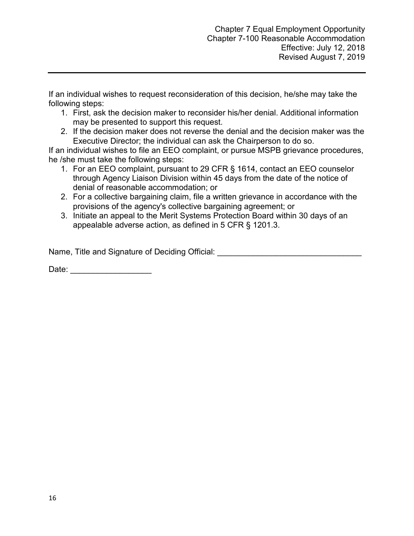If an individual wishes to request reconsideration of this decision, he/she may take the following steps:

- 1. First, ask the decision maker to reconsider his/her denial. Additional information may be presented to support this request.
- 2. If the decision maker does not reverse the denial and the decision maker was the Executive Director; the individual can ask the Chairperson to do so.

If an individual wishes to file an EEO complaint, or pursue MSPB grievance procedures, he /she must take the following steps:

- 1. For an EEO complaint, pursuant to 29 CFR § 1614, contact an EEO counselor through Agency Liaison Division within 45 days from the date of the notice of denial of reasonable accommodation; or
- 2. For a collective bargaining claim, file a written grievance in accordance with the provisions of the agency's collective bargaining agreement; or
- 3. Initiate an appeal to the Merit Systems Protection Board within 30 days of an appealable adverse action, as defined in 5 CFR § 1201.3.

Name, Title and Signature of Deciding Official: \_\_\_\_\_\_\_\_\_\_\_\_\_\_\_\_\_\_\_\_\_\_\_\_\_\_\_\_\_\_\_\_

Date: \_\_\_\_\_\_\_\_\_\_\_\_\_\_\_\_\_\_